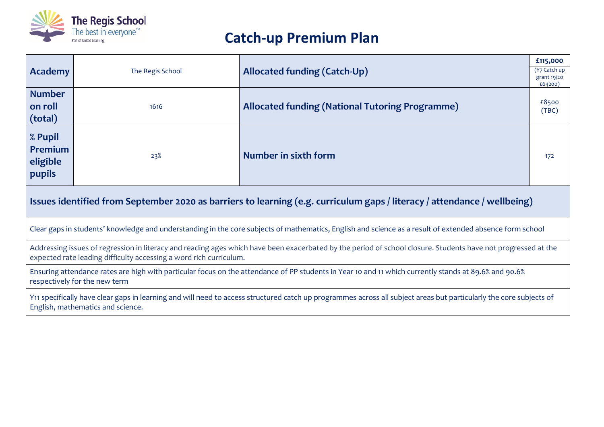

## **Catch-up Premium Plan**

| <b>Academy</b>                                                                                                                                                                                                                      | The Regis School | <b>Allocated funding (Catch-Up)</b>                    | £115,000<br>(Y7 Catch up<br>grant 19/20<br>£64200) |
|-------------------------------------------------------------------------------------------------------------------------------------------------------------------------------------------------------------------------------------|------------------|--------------------------------------------------------|----------------------------------------------------|
| <b>Number</b><br>on roll<br>(total)                                                                                                                                                                                                 | 1616             | <b>Allocated funding (National Tutoring Programme)</b> | £8500<br>(TBC)                                     |
| % Pupil<br>Premium<br>eligible<br>pupils                                                                                                                                                                                            | 23%              | Number in sixth form                                   | 172                                                |
| Issues identified from September 2020 as barriers to learning (e.g. curriculum gaps / literacy / attendance / wellbeing)                                                                                                            |                  |                                                        |                                                    |
| Clear gaps in students' knowledge and understanding in the core subjects of mathematics, English and science as a result of extended absence form school                                                                            |                  |                                                        |                                                    |
| Addressing issues of regression in literacy and reading ages which have been exacerbated by the period of school closure. Students have not progressed at the<br>expected rate leading difficulty accessing a word rich curriculum. |                  |                                                        |                                                    |
| Ensuring attendance rates are high with particular focus on the attendance of PP students in Year 10 and 11 which currently stands at 89.6% and 90.6%<br>respectively for the new term                                              |                  |                                                        |                                                    |
| Y11 specifically have clear gaps in learning and will need to access structured catch up programmes across all subject areas but particularly the core subjects of<br>English, mathematics and science.                             |                  |                                                        |                                                    |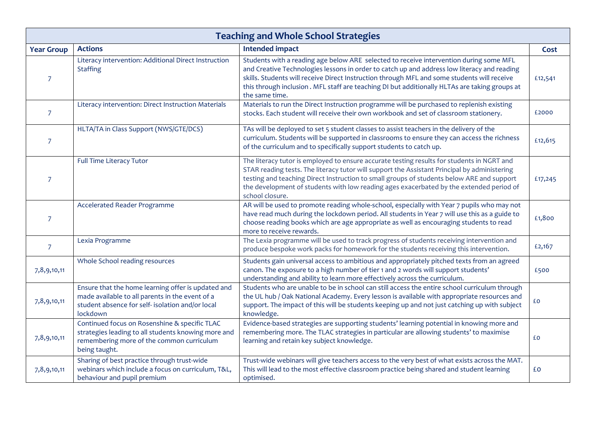| <b>Teaching and Whole School Strategies</b> |                                                                                                                                                                       |                                                                                                                                                                                                                                                                                                                                                                                                         |         |
|---------------------------------------------|-----------------------------------------------------------------------------------------------------------------------------------------------------------------------|---------------------------------------------------------------------------------------------------------------------------------------------------------------------------------------------------------------------------------------------------------------------------------------------------------------------------------------------------------------------------------------------------------|---------|
| <b>Year Group</b>                           | <b>Actions</b>                                                                                                                                                        | <b>Intended impact</b>                                                                                                                                                                                                                                                                                                                                                                                  | Cost    |
| $\overline{7}$                              | Literacy intervention: Additional Direct Instruction<br><b>Staffing</b>                                                                                               | Students with a reading age below ARE selected to receive intervention during some MFL<br>and Creative Technologies lessons in order to catch up and address low literacy and reading<br>skills. Students will receive Direct Instruction through MFL and some students will receive<br>this through inclusion. MFL staff are teaching DI but additionally HLTAs are taking groups at<br>the same time. | £12,541 |
| $\overline{7}$                              | Literacy intervention: Direct Instruction Materials                                                                                                                   | Materials to run the Direct Instruction programme will be purchased to replenish existing<br>stocks. Each student will receive their own workbook and set of classroom stationery.                                                                                                                                                                                                                      | £2000   |
| $\overline{7}$                              | HLTA/TA in Class Support (NWS/GTE/DCS)                                                                                                                                | TAs will be deployed to set 5 student classes to assist teachers in the delivery of the<br>curriculum. Students will be supported in classrooms to ensure they can access the richness<br>of the curriculum and to specifically support students to catch up.                                                                                                                                           | £12,615 |
| $\overline{7}$                              | Full Time Literacy Tutor                                                                                                                                              | The literacy tutor is employed to ensure accurate testing results for students in NGRT and<br>STAR reading tests. The literacy tutor will support the Assistant Principal by administering<br>testing and teaching Direct Instruction to small groups of students below ARE and support<br>the development of students with low reading ages exacerbated by the extended period of<br>school closure.   | £17,245 |
| $\overline{7}$                              | Accelerated Reader Programme                                                                                                                                          | AR will be used to promote reading whole-school, especially with Year 7 pupils who may not<br>have read much during the lockdown period. All students in Year 7 will use this as a guide to<br>choose reading books which are age appropriate as well as encouraging students to read<br>more to receive rewards.                                                                                       | £1,800  |
| $\overline{7}$                              | Lexia Programme                                                                                                                                                       | The Lexia programme will be used to track progress of students receiving intervention and<br>produce bespoke work packs for homework for the students receiving this intervention.                                                                                                                                                                                                                      | £2,167  |
| 7,8,9,10,11                                 | Whole School reading resources                                                                                                                                        | Students gain universal access to ambitious and appropriately pitched texts from an agreed<br>canon. The exposure to a high number of tier 1 and 2 words will support students'<br>understanding and ability to learn more effectively across the curriculum.                                                                                                                                           | £500    |
| 7,8,9,10,11                                 | Ensure that the home learning offer is updated and<br>made available to all parents in the event of a<br>student absence for self- isolation and/or local<br>lockdown | Students who are unable to be in school can still access the entire school curriculum through<br>the UL hub / Oak National Academy. Every lesson is available with appropriate resources and<br>support. The impact of this will be students keeping up and not just catching up with subject<br>knowledge.                                                                                             | £Ο      |
| 7,8,9,10,11                                 | Continued focus on Rosenshine & specific TLAC<br>strategies leading to all students knowing more and<br>remembering more of the common curriculum<br>being taught.    | Evidence-based strategies are supporting students' learning potential in knowing more and<br>remembering more. The TLAC strategies in particular are allowing students' to maximise<br>learning and retain key subject knowledge.                                                                                                                                                                       | £O      |
| 7,8,9,10,11                                 | Sharing of best practice through trust-wide<br>webinars which include a focus on curriculum, T&L,<br>behaviour and pupil premium                                      | Trust-wide webinars will give teachers access to the very best of what exists across the MAT.<br>This will lead to the most effective classroom practice being shared and student learning<br>optimised.                                                                                                                                                                                                | £O      |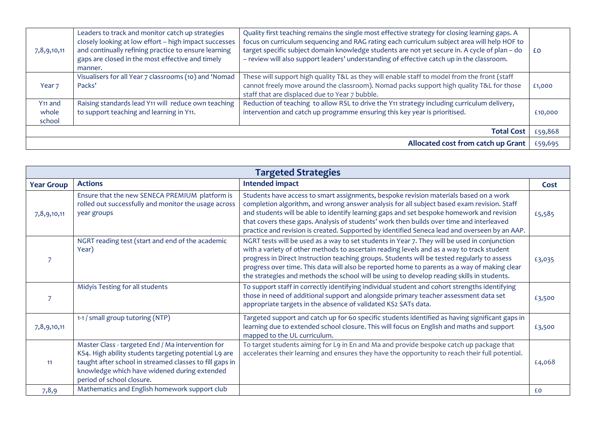| 7,8,9,10,11                            | Leaders to track and monitor catch up strategies<br>closely looking at low effort - high impact successes<br>and continually refining practice to ensure learning<br>gaps are closed in the most effective and timely<br>manner. | Quality first teaching remains the single most effective strategy for closing learning gaps. A<br>focus on curriculum sequencing and RAG rating each curriculum subject area will help HOF to<br>target specific subject domain knowledge students are not yet secure in. A cycle of plan - do<br>- review will also support leaders' understanding of effective catch up in the classroom. | £٥      |
|----------------------------------------|----------------------------------------------------------------------------------------------------------------------------------------------------------------------------------------------------------------------------------|---------------------------------------------------------------------------------------------------------------------------------------------------------------------------------------------------------------------------------------------------------------------------------------------------------------------------------------------------------------------------------------------|---------|
| Year <sub>7</sub>                      | Visualisers for all Year 7 classrooms (10) and 'Nomad<br>Packs'                                                                                                                                                                  | These will support high quality T&L as they will enable staff to model from the front (staff<br>cannot freely move around the classroom). Nomad packs support high quality T&L for those<br>staff that are displaced due to Year 7 bubble.                                                                                                                                                  | £1,000  |
| Y <sub>11</sub> and<br>whole<br>school | Raising standards lead Y11 will reduce own teaching<br>to support teaching and learning in Y11.                                                                                                                                  | Reduction of teaching to allow RSL to drive the Y11 strategy including curriculum delivery,<br>intervention and catch up programme ensuring this key year is prioritised.                                                                                                                                                                                                                   | £10,000 |
|                                        |                                                                                                                                                                                                                                  | <b>Total Cost</b>                                                                                                                                                                                                                                                                                                                                                                           | £59,868 |
|                                        |                                                                                                                                                                                                                                  | Allocated cost from catch up Grant                                                                                                                                                                                                                                                                                                                                                          | £59,695 |

| <b>Targeted Strategies</b> |                                                                                                                                                                                                                                                    |                                                                                                                                                                                                                                                                                                                                                                                                                                                                                        |        |
|----------------------------|----------------------------------------------------------------------------------------------------------------------------------------------------------------------------------------------------------------------------------------------------|----------------------------------------------------------------------------------------------------------------------------------------------------------------------------------------------------------------------------------------------------------------------------------------------------------------------------------------------------------------------------------------------------------------------------------------------------------------------------------------|--------|
| <b>Year Group</b>          | <b>Actions</b>                                                                                                                                                                                                                                     | <b>Intended impact</b>                                                                                                                                                                                                                                                                                                                                                                                                                                                                 | Cost   |
| 7,8,9,10,11                | Ensure that the new SENECA PREMIUM platform is<br>rolled out successfully and monitor the usage across<br>year groups                                                                                                                              | Students have access to smart assignments, bespoke revision materials based on a work<br>completion algorithm, and wrong answer analysis for all subject based exam revision. Staff<br>and students will be able to identify learning gaps and set bespoke homework and revision<br>that covers these gaps. Analysis of students' work then builds over time and interleaved<br>practice and revision is created. Supported by identified Seneca lead and overseen by an AAP.          | £5,585 |
|                            | NGRT reading test (start and end of the academic<br>Year)                                                                                                                                                                                          | NGRT tests will be used as a way to set students in Year 7. They will be used in conjunction<br>with a variety of other methods to ascertain reading levels and as a way to track student<br>progress in Direct Instruction teaching groups. Students will be tested regularly to assess<br>progress over time. This data will also be reported home to parents as a way of making clear<br>the strategies and methods the school will be using to develop reading skills in students. | £3,035 |
|                            | Midyis Testing for all students                                                                                                                                                                                                                    | To support staff in correctly identifying individual student and cohort strengths identifying<br>those in need of additional support and alongside primary teacher assessment data set<br>appropriate targets in the absence of validated KS2 SATs data.                                                                                                                                                                                                                               | £3,500 |
| 7,8,9,10,11                | 1-1 / small group tutoring (NTP)                                                                                                                                                                                                                   | Targeted support and catch up for 60 specific students identified as having significant gaps in<br>learning due to extended school closure. This will focus on English and maths and support<br>mapped to the UL curriculum.                                                                                                                                                                                                                                                           | £3,500 |
| 11                         | Master Class - targeted End / Ma intervention for<br>KS4. High ability students targeting potential L9 are<br>taught after school in streamed classes to fill gaps in<br>knowledge which have widened during extended<br>period of school closure. | To target students aiming for L9 in En and Ma and provide bespoke catch up package that<br>accelerates their learning and ensures they have the opportunity to reach their full potential.                                                                                                                                                                                                                                                                                             | £4,068 |
| 7,8,9                      | Mathematics and English homework support club                                                                                                                                                                                                      |                                                                                                                                                                                                                                                                                                                                                                                                                                                                                        | £0     |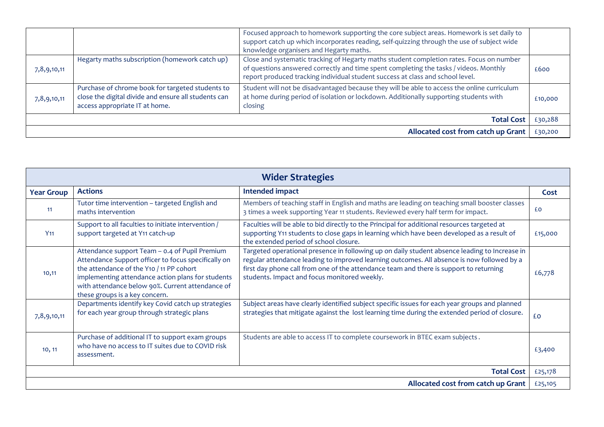|                                    |                                                                                                                                            | Focused approach to homework supporting the core subject areas. Homework is set daily to<br>support catch up which incorporates reading, self-quizzing through the use of subject wide<br>knowledge organisers and Hegarty maths.                                   |         |
|------------------------------------|--------------------------------------------------------------------------------------------------------------------------------------------|---------------------------------------------------------------------------------------------------------------------------------------------------------------------------------------------------------------------------------------------------------------------|---------|
| 7,8,9,10,11                        | Hegarty maths subscription (homework catch up)                                                                                             | Close and systematic tracking of Hegarty maths student completion rates. Focus on number<br>of questions answered correctly and time spent completing the tasks / videos. Monthly<br>report produced tracking individual student success at class and school level. | £600    |
| 7,8,9,10,11                        | Purchase of chrome book for targeted students to<br>close the digital divide and ensure all students can<br>access appropriate IT at home. | Student will not be disadvantaged because they will be able to access the online curriculum<br>at home during period of isolation or lockdown. Additionally supporting students with<br>closing                                                                     | £10,000 |
|                                    |                                                                                                                                            | <b>Total Cost</b>                                                                                                                                                                                                                                                   | £30,288 |
| Allocated cost from catch up Grant |                                                                                                                                            |                                                                                                                                                                                                                                                                     | £30,200 |

| <b>Wider Strategies</b>            |                                                                                                                                                                                                                                                                                              |                                                                                                                                                                                                                                                                                                                                       |         |
|------------------------------------|----------------------------------------------------------------------------------------------------------------------------------------------------------------------------------------------------------------------------------------------------------------------------------------------|---------------------------------------------------------------------------------------------------------------------------------------------------------------------------------------------------------------------------------------------------------------------------------------------------------------------------------------|---------|
| <b>Year Group</b>                  | <b>Actions</b>                                                                                                                                                                                                                                                                               | Intended impact                                                                                                                                                                                                                                                                                                                       | Cost    |
| 11                                 | Tutor time intervention - targeted English and<br>maths intervention                                                                                                                                                                                                                         | Members of teaching staff in English and maths are leading on teaching small booster classes<br>3 times a week supporting Year 11 students. Reviewed every half term for impact.                                                                                                                                                      | £O      |
| Y <sub>11</sub>                    | Support to all faculties to initiate intervention /<br>support targeted at Y11 catch-up                                                                                                                                                                                                      | Faculties will be able to bid directly to the Principal for additional resources targeted at<br>supporting Y11 students to close gaps in learning which have been developed as a result of<br>the extended period of school closure.                                                                                                  | £15,000 |
| 10,11                              | Attendance support Team - 0.4 of Pupil Premium<br>Attendance Support officer to focus specifically on<br>the attendance of the Y10 / 11 PP cohort<br>implementing attendance action plans for students<br>with attendance below 90%. Current attendance of<br>these groups is a key concern. | Targeted operational presence in following up on daily student absence leading to Increase in<br>regular attendance leading to improved learning outcomes. All absence is now followed by a<br>first day phone call from one of the attendance team and there is support to returning<br>students. Impact and focus monitored weekly. | £6,778  |
| 7,8,9,10,11                        | Departments identify key Covid catch up strategies<br>for each year group through strategic plans                                                                                                                                                                                            | Subject areas have clearly identified subject specific issues for each year groups and planned<br>strategies that mitigate against the lost learning time during the extended period of closure.                                                                                                                                      | £O      |
| 10, 11                             | Purchase of additional IT to support exam groups<br>who have no access to IT suites due to COVID risk<br>assessment.                                                                                                                                                                         | Students are able to access IT to complete coursework in BTEC exam subjects.                                                                                                                                                                                                                                                          | £3,400  |
| <b>Total Cost</b>                  |                                                                                                                                                                                                                                                                                              |                                                                                                                                                                                                                                                                                                                                       | £25,178 |
| Allocated cost from catch up Grant |                                                                                                                                                                                                                                                                                              |                                                                                                                                                                                                                                                                                                                                       | £25,105 |